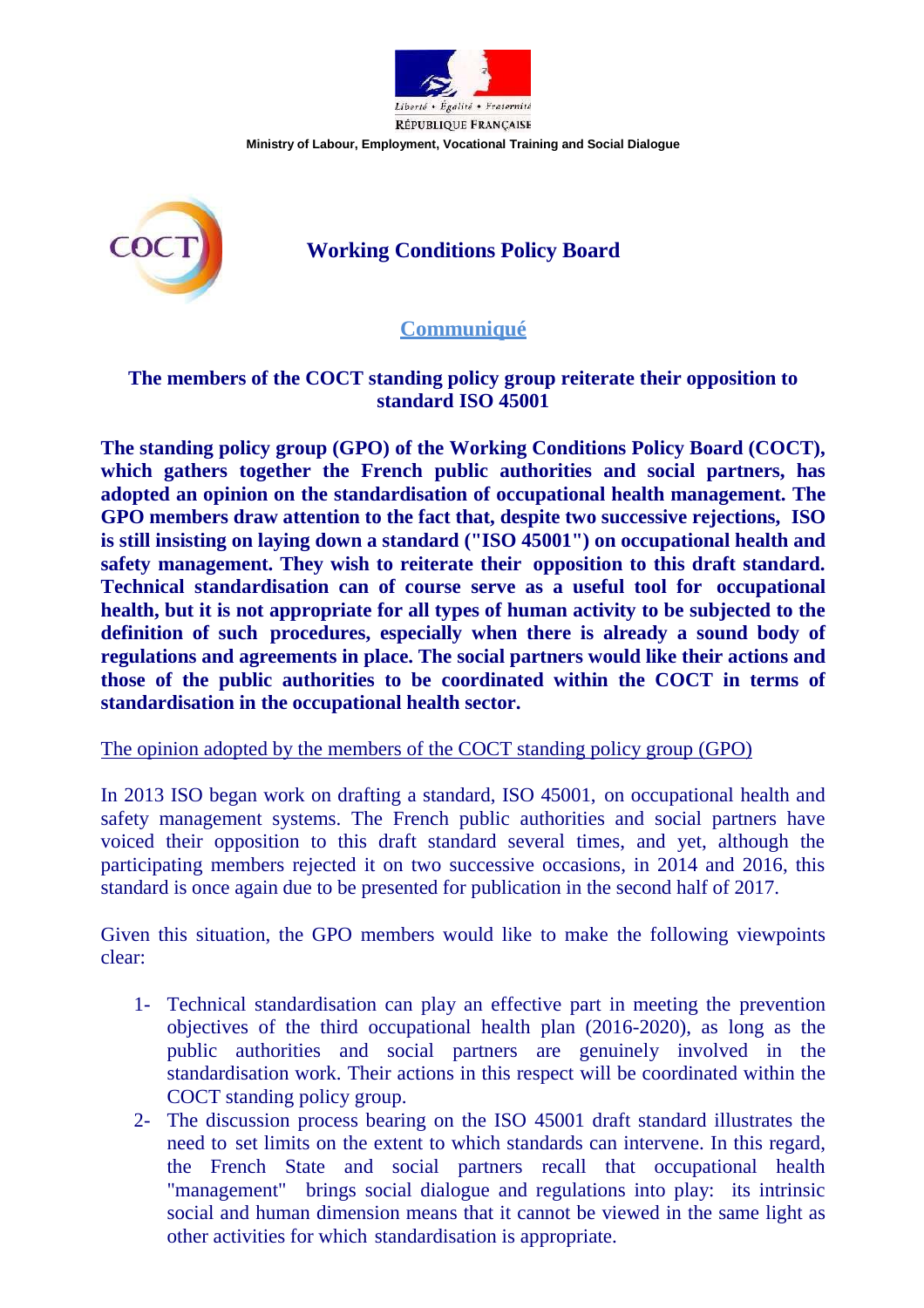

**Ministry of Labour, Employment, Vocational Training and Social Dialogue**



# **Working Conditions Policy Board**

## **Communiqué**

### **The members of the COCT standing policy group reiterate their opposition to standard ISO 45001**

**The standing policy group (GPO) of the Working Conditions Policy Board (COCT), which gathers together the French public authorities and social partners, has adopted an opinion on the standardisation of occupational health management. The GPO members draw attention to the fact that, despite two successive rejections, ISO is still insisting on laying down a standard ("ISO 45001") on occupational health and safety management. They wish to reiterate their opposition to this draft standard. Technical standardisation can of course serve as a useful tool for occupational health, but it is not appropriate for all types of human activity to be subjected to the definition of such procedures, especially when there is already a sound body of regulations and agreements in place. The social partners would like their actions and those of the public authorities to be coordinated within the COCT in terms of standardisation in the occupational health sector.**

#### The opinion adopted by the members of the COCT standing policy group (GPO)

In 2013 ISO began work on drafting a standard, ISO 45001, on occupational health and safety management systems. The French public authorities and social partners have voiced their opposition to this draft standard several times, and yet, although the participating members rejected it on two successive occasions, in 2014 and 2016, this standard is once again due to be presented for publication in the second half of 2017.

Given this situation, the GPO members would like to make the following viewpoints clear:

- 1- Technical standardisation can play an effective part in meeting the prevention objectives of the third occupational health plan (2016-2020), as long as the public authorities and social partners are genuinely involved in the standardisation work. Their actions in this respect will be coordinated within the COCT standing policy group.
- 2- The discussion process bearing on the ISO 45001 draft standard illustrates the need to set limits on the extent to which standards can intervene. In this regard, the French State and social partners recall that occupational health "management" brings social dialogue and regulations into play: its intrinsic social and human dimension means that it cannot be viewed in the same light as other activities for which standardisation is appropriate.